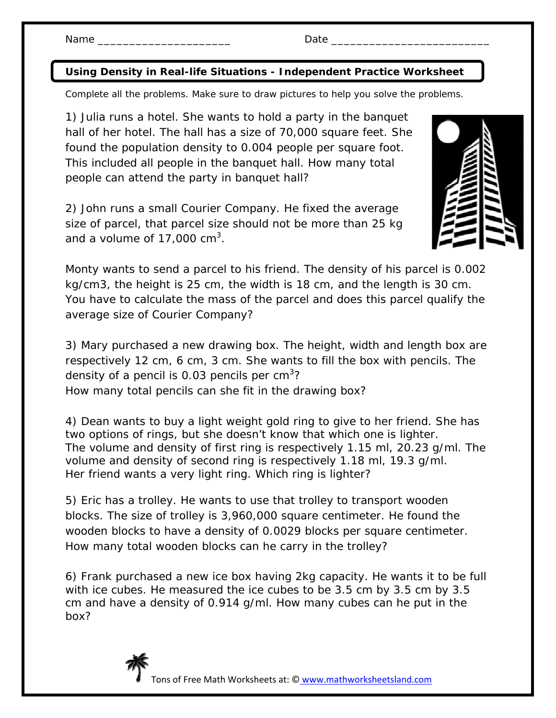## **Using Density in Real-life Situations - Independent Practice Worksheet**

Complete all the problems. Make sure to draw pictures to help you solve the problems.

1) Julia runs a hotel. She wants to hold a party in the banquet hall of her hotel. The hall has a size of 70,000 square feet. She found the population density to 0.004 people per square foot. This included all people in the banquet hall. How many total people can attend the party in banquet hall?

2) John runs a small Courier Company. He fixed the average size of parcel, that parcel size should not be more than 25 kg and a volume of 17,000 cm<sup>3</sup>.



Monty wants to send a parcel to his friend. The density of his parcel is 0.002 kg/cm3, the height is 25 cm, the width is 18 cm, and the length is 30 cm. You have to calculate the mass of the parcel and does this parcel qualify the average size of Courier Company?

3) Mary purchased a new drawing box. The height, width and length box are respectively 12 cm, 6 cm, 3 cm. She wants to fill the box with pencils. The density of a pencil is 0.03 pencils per cm<sup>3</sup>? How many total pencils can she fit in the drawing box?

4) Dean wants to buy a light weight gold ring to give to her friend. She has two options of rings, but she doesn't know that which one is lighter. The volume and density of first ring is respectively 1.15 ml, 20.23 g/ml. The volume and density of second ring is respectively 1.18 ml, 19.3 g/ml. Her friend wants a very light ring. Which ring is lighter?

5) Eric has a trolley. He wants to use that trolley to transport wooden blocks. The size of trolley is 3,960,000 square centimeter. He found the wooden blocks to have a density of 0.0029 blocks per square centimeter. How many total wooden blocks can he carry in the trolley?

6) Frank purchased a new ice box having 2kg capacity. He wants it to be full with ice cubes. He measured the ice cubes to be 3.5 cm by 3.5 cm by 3.5 cm and have a density of 0.914 g/ml. How many cubes can he put in the box?